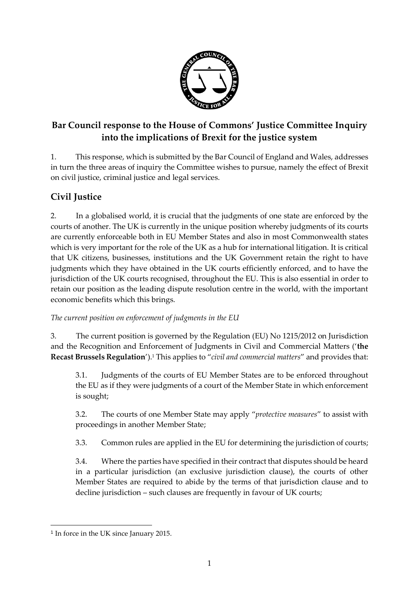

# **Bar Council response to the House of Commons' Justice Committee Inquiry into the implications of Brexit for the justice system**

1. This response, which is submitted by the Bar Council of England and Wales, addresses in turn the three areas of inquiry the Committee wishes to pursue, namely the effect of Brexit on civil justice, criminal justice and legal services.

# **Civil Justice**

2. In a globalised world, it is crucial that the judgments of one state are enforced by the courts of another. The UK is currently in the unique position whereby judgments of its courts are currently enforceable both in EU Member States and also in most Commonwealth states which is very important for the role of the UK as a hub for international litigation. It is critical that UK citizens, businesses, institutions and the UK Government retain the right to have judgments which they have obtained in the UK courts efficiently enforced, and to have the jurisdiction of the UK courts recognised, throughout the EU. This is also essential in order to retain our position as the leading dispute resolution centre in the world, with the important economic benefits which this brings.

*The current position on enforcement of judgments in the EU*

3. The current position is governed by the Regulation (EU) No 1215/2012 on Jurisdiction and the Recognition and Enforcement of Judgments in Civil and Commercial Matters ('**the Recast Brussels Regulation**'). <sup>1</sup> This applies to "*civil and commercial matters*" and provides that:

3.1. Judgments of the courts of EU Member States are to be enforced throughout the EU as if they were judgments of a court of the Member State in which enforcement is sought;

3.2. The courts of one Member State may apply "*protective measures*" to assist with proceedings in another Member State;

3.3. Common rules are applied in the EU for determining the jurisdiction of courts;

3.4. Where the parties have specified in their contract that disputes should be heard in a particular jurisdiction (an exclusive jurisdiction clause), the courts of other Member States are required to abide by the terms of that jurisdiction clause and to decline jurisdiction – such clauses are frequently in favour of UK courts;

<sup>1</sup> In force in the UK since January 2015.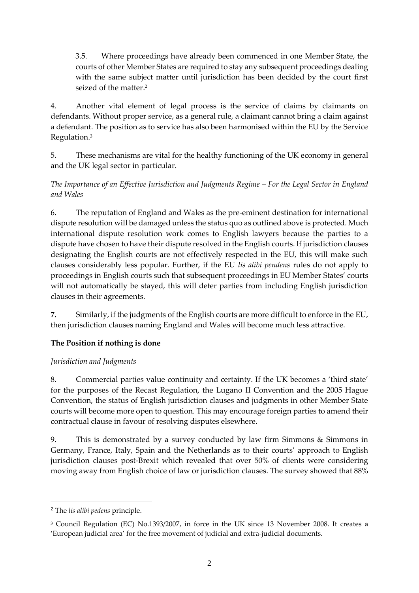3.5. Where proceedings have already been commenced in one Member State, the courts of other Member States are required to stay any subsequent proceedings dealing with the same subject matter until jurisdiction has been decided by the court first seized of the matter. 2

4. Another vital element of legal process is the service of claims by claimants on defendants. Without proper service, as a general rule, a claimant cannot bring a claim against a defendant. The position as to service has also been harmonised within the EU by the Service Regulation. 3

5. These mechanisms are vital for the healthy functioning of the UK economy in general and the UK legal sector in particular.

### *The Importance of an Effective Jurisdiction and Judgments Regime – For the Legal Sector in England and Wales*

6. The reputation of England and Wales as the pre-eminent destination for international dispute resolution will be damaged unless the status quo as outlined above is protected. Much international dispute resolution work comes to English lawyers because the parties to a dispute have chosen to have their dispute resolved in the English courts. If jurisdiction clauses designating the English courts are not effectively respected in the EU, this will make such clauses considerably less popular. Further, if the EU *lis alibi pendens* rules do not apply to proceedings in English courts such that subsequent proceedings in EU Member States' courts will not automatically be stayed, this will deter parties from including English jurisdiction clauses in their agreements.

**7.** Similarly, if the judgments of the English courts are more difficult to enforce in the EU, then jurisdiction clauses naming England and Wales will become much less attractive.

### **The Position if nothing is done**

### *Jurisdiction and Judgments*

8. Commercial parties value continuity and certainty. If the UK becomes a 'third state' for the purposes of the Recast Regulation, the Lugano II Convention and the 2005 Hague Convention, the status of English jurisdiction clauses and judgments in other Member State courts will become more open to question. This may encourage foreign parties to amend their contractual clause in favour of resolving disputes elsewhere.

9. This is demonstrated by a survey conducted by law firm Simmons & Simmons in Germany, France, Italy, Spain and the Netherlands as to their courts' approach to English jurisdiction clauses post-Brexit which revealed that over 50% of clients were considering moving away from English choice of law or jurisdiction clauses. The survey showed that 88%

<sup>2</sup> The *lis alibi pedens* principle.

<sup>3</sup> Council Regulation (EC) No.1393/2007, in force in the UK since 13 November 2008. It creates a 'European judicial area' for the free movement of judicial and extra-judicial documents.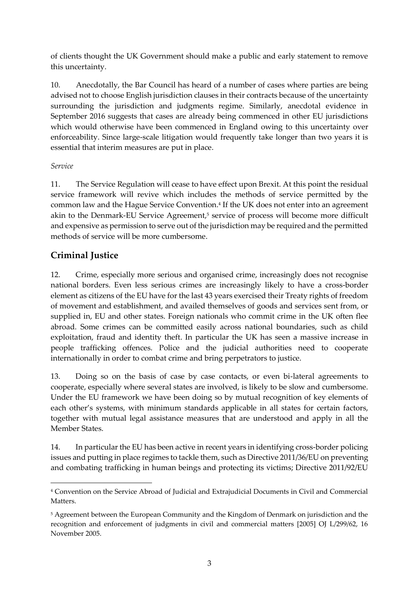of clients thought the UK Government should make a public and early statement to remove this uncertainty.

10. Anecdotally, the Bar Council has heard of a number of cases where parties are being advised not to choose English jurisdiction clauses in their contracts because of the uncertainty surrounding the jurisdiction and judgments regime. Similarly, anecdotal evidence in September 2016 suggests that cases are already being commenced in other EU jurisdictions which would otherwise have been commenced in England owing to this uncertainty over enforceability. Since large-scale litigation would frequently take longer than two years it is essential that interim measures are put in place.

#### *Service*

-

11. The Service Regulation will cease to have effect upon Brexit. At this point the residual service framework will revive which includes the methods of service permitted by the common law and the Hague Service Convention. 4 If the UK does not enter into an agreement akin to the Denmark-EU Service Agreement, <sup>5</sup> service of process will become more difficult and expensive as permission to serve out of the jurisdiction may be required and the permitted methods of service will be more cumbersome.

## **Criminal Justice**

12. Crime, especially more serious and organised crime, increasingly does not recognise national borders. Even less serious crimes are increasingly likely to have a cross-border element as citizens of the EU have for the last 43 years exercised their Treaty rights of freedom of movement and establishment, and availed themselves of goods and services sent from, or supplied in, EU and other states. Foreign nationals who commit crime in the UK often flee abroad. Some crimes can be committed easily across national boundaries, such as child exploitation, fraud and identity theft. In particular the UK has seen a massive increase in people trafficking offences. Police and the judicial authorities need to cooperate internationally in order to combat crime and bring perpetrators to justice.

13. Doing so on the basis of case by case contacts, or even bi-lateral agreements to cooperate, especially where several states are involved, is likely to be slow and cumbersome. Under the EU framework we have been doing so by mutual recognition of key elements of each other's systems, with minimum standards applicable in all states for certain factors, together with mutual legal assistance measures that are understood and apply in all the Member States.

14. In particular the EU has been active in recent years in identifying cross-border policing issues and putting in place regimes to tackle them, such as Directive 2011/36/EU on preventing and combating trafficking in human beings and protecting its victims; Directive 2011/92/EU

<sup>4</sup> Convention on the Service Abroad of Judicial and Extrajudicial Documents in Civil and Commercial Matters.

<sup>5</sup> Agreement between the European Community and the Kingdom of Denmark on jurisdiction and the recognition and enforcement of judgments in civil and commercial matters [2005] OJ L/299/62, 16 November 2005.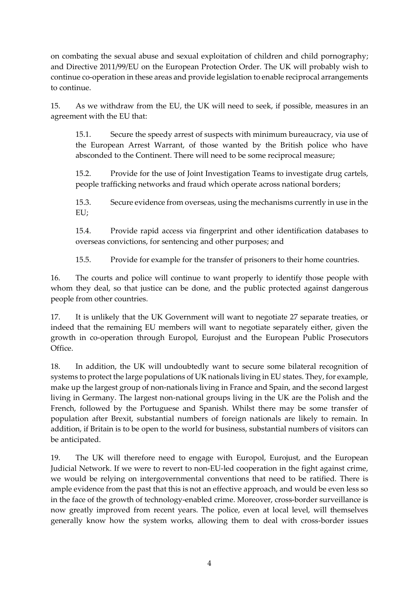on combating the sexual abuse and sexual exploitation of children and child pornography; and Directive 2011/99/EU on the European Protection Order. The UK will probably wish to continue co-operation in these areas and provide legislation to enable reciprocal arrangements to continue.

15. As we withdraw from the EU, the UK will need to seek, if possible, measures in an agreement with the EU that:

15.1. Secure the speedy arrest of suspects with minimum bureaucracy, via use of the European Arrest Warrant, of those wanted by the British police who have absconded to the Continent. There will need to be some reciprocal measure;

15.2. Provide for the use of Joint Investigation Teams to investigate drug cartels, people trafficking networks and fraud which operate across national borders;

15.3. Secure evidence from overseas, using the mechanisms currently in use in the EU;

15.4. Provide rapid access via fingerprint and other identification databases to overseas convictions, for sentencing and other purposes; and

15.5. Provide for example for the transfer of prisoners to their home countries.

16. The courts and police will continue to want properly to identify those people with whom they deal, so that justice can be done, and the public protected against dangerous people from other countries.

17. It is unlikely that the UK Government will want to negotiate 27 separate treaties, or indeed that the remaining EU members will want to negotiate separately either, given the growth in co-operation through Europol, Eurojust and the European Public Prosecutors Office.

18. In addition, the UK will undoubtedly want to secure some bilateral recognition of systems to protect the large populations of UK nationals living in EU states. They, for example, make up the largest group of non-nationals living in France and Spain, and the second largest living in Germany. The largest non-national groups living in the UK are the Polish and the French, followed by the Portuguese and Spanish. Whilst there may be some transfer of population after Brexit, substantial numbers of foreign nationals are likely to remain. In addition, if Britain is to be open to the world for business, substantial numbers of visitors can be anticipated.

19. The UK will therefore need to engage with Europol, Eurojust, and the European Judicial Network. If we were to revert to non-EU-led cooperation in the fight against crime, we would be relying on intergovernmental conventions that need to be ratified. There is ample evidence from the past that this is not an effective approach, and would be even less so in the face of the growth of technology-enabled crime. Moreover, cross-border surveillance is now greatly improved from recent years. The police, even at local level, will themselves generally know how the system works, allowing them to deal with cross-border issues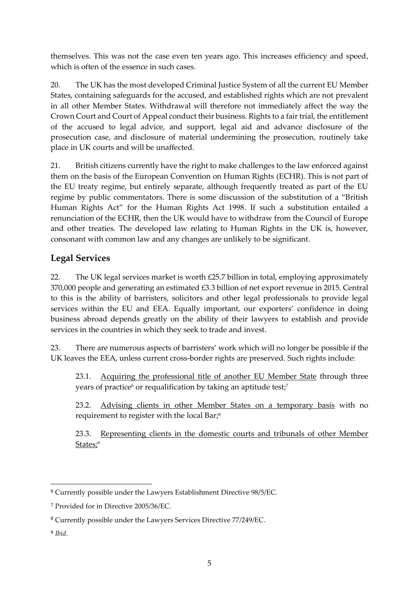themselves. This was not the case even ten years ago. This increases efficiency and speed, which is often of the essence in such cases.

20. The UK has the most developed Criminal Justice System of all the current EU Member States, containing safeguards for the accused, and established rights which are not prevalent in all other Member States. Withdrawal will therefore not immediately affect the way the Crown Court and Court of Appeal conduct their business. Rights to a fair trial, the entitlement of the accused to legal advice, and support, legal aid and advance disclosure of the prosecution case, and disclosure of material undermining the prosecution, routinely take place in UK courts and will be unaffected.

21. British citizens currently have the right to make challenges to the law enforced against them on the basis of the European Convention on Human Rights (ECHR). This is not part of the EU treaty regime, but entirely separate, although frequently treated as part of the EU regime by public commentators. There is some discussion of the substitution of a "British Human Rights Act" for the Human Rights Act 1998. If such a substitution entailed a renunciation of the ECHR, then the UK would have to withdraw from the Council of Europe and other treaties. The developed law relating to Human Rights in the UK is, however, consonant with common law and any changes are unlikely to be significant.

# **Legal Services**

22. The UK legal services market is worth £25.7 billion in total, employing approximately 370,000 people and generating an estimated £3.3 billion of net export revenue in 2015. Central to this is the ability of barristers, solicitors and other legal professionals to provide legal services within the EU and EEA. Equally important, our exporters' confidence in doing business abroad depends greatly on the ability of their lawyers to establish and provide services in the countries in which they seek to trade and invest.

23. There are numerous aspects of barristers' work which will no longer be possible if the UK leaves the EEA, unless current cross-border rights are preserved. Such rights include:

23.1. Acquiring the professional title of another EU Member State through three years of practice $^6$  or requalification by taking an aptitude test; $^7$ 

23.2. Advising clients in other Member States on a temporary basis with no requirement to register with the local Bar; 8

23.3. Representing clients in the domestic courts and tribunals of other Member <u>States;</u><sup>9</sup>

<sup>6</sup> Currently possible under the Lawyers Establishment Directive 98/5/EC.

<sup>7</sup> Provided for in Directive 2005/36/EC.

<sup>8</sup> Currently possible under the Lawyers Services Directive 77/249/EC.

<sup>9</sup> *Ibid*.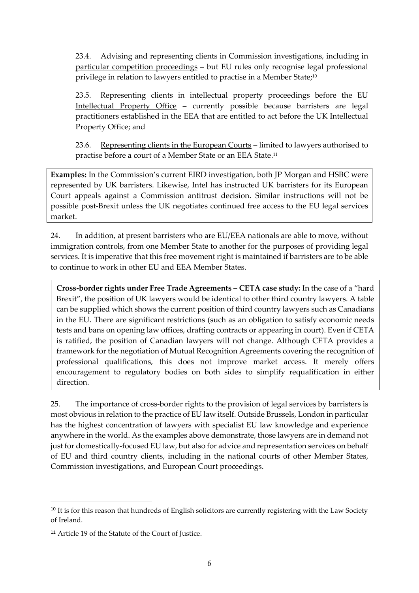23.4. Advising and representing clients in Commission investigations, including in particular competition proceedings – but EU rules only recognise legal professional privilege in relation to lawyers entitled to practise in a Member State;<sup>10</sup>

23.5. Representing clients in intellectual property proceedings before the EU Intellectual Property Office – currently possible because barristers are legal practitioners established in the EEA that are entitled to act before the UK Intellectual Property Office; and

23.6. Representing clients in the European Courts – limited to lawyers authorised to practise before a court of a Member State or an EEA State. 11

**Examples:** In the Commission's current EIRD investigation, both JP Morgan and HSBC were represented by UK barristers. Likewise, Intel has instructed UK barristers for its European Court appeals against a Commission antitrust decision. Similar instructions will not be possible post-Brexit unless the UK negotiates continued free access to the EU legal services market.

24. In addition, at present barristers who are EU/EEA nationals are able to move, without immigration controls, from one Member State to another for the purposes of providing legal services. It is imperative that this free movement right is maintained if barristers are to be able to continue to work in other EU and EEA Member States.

**Cross-border rights under Free Trade Agreements – CETA case study:** In the case of a "hard Brexit", the position of UK lawyers would be identical to other third country lawyers. A table can be supplied which shows the current position of third country lawyers such as Canadians in the EU. There are significant restrictions (such as an obligation to satisfy economic needs tests and bans on opening law offices, drafting contracts or appearing in court). Even if CETA is ratified, the position of Canadian lawyers will not change. Although CETA provides a framework for the negotiation of Mutual Recognition Agreements covering the recognition of professional qualifications, this does not improve market access. It merely offers encouragement to regulatory bodies on both sides to simplify requalification in either direction.

25. The importance of cross-border rights to the provision of legal services by barristers is most obvious in relation to the practice of EU law itself. Outside Brussels, London in particular has the highest concentration of lawyers with specialist EU law knowledge and experience anywhere in the world. As the examples above demonstrate, those lawyers are in demand not just for domestically-focused EU law, but also for advice and representation services on behalf of EU and third country clients, including in the national courts of other Member States, Commission investigations, and European Court proceedings.

<sup>&</sup>lt;sup>10</sup> It is for this reason that hundreds of English solicitors are currently registering with the Law Society of Ireland.

<sup>11</sup> Article 19 of the Statute of the Court of Justice.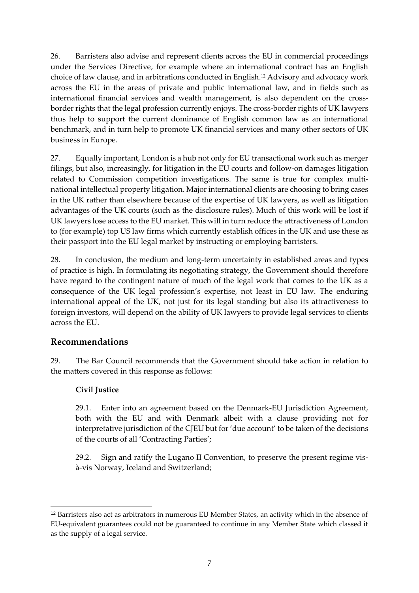26. Barristers also advise and represent clients across the EU in commercial proceedings under the Services Directive, for example where an international contract has an English choice of law clause, and in arbitrations conducted in English. <sup>12</sup> Advisory and advocacy work across the EU in the areas of private and public international law, and in fields such as international financial services and wealth management, is also dependent on the crossborder rights that the legal profession currently enjoys. The cross-border rights of UK lawyers thus help to support the current dominance of English common law as an international benchmark, and in turn help to promote UK financial services and many other sectors of UK business in Europe.

27. Equally important, London is a hub not only for EU transactional work such as merger filings, but also, increasingly, for litigation in the EU courts and follow-on damages litigation related to Commission competition investigations. The same is true for complex multinational intellectual property litigation. Major international clients are choosing to bring cases in the UK rather than elsewhere because of the expertise of UK lawyers, as well as litigation advantages of the UK courts (such as the disclosure rules). Much of this work will be lost if UK lawyers lose access to the EU market. This will in turn reduce the attractiveness of London to (for example) top US law firms which currently establish offices in the UK and use these as their passport into the EU legal market by instructing or employing barristers.

28. In conclusion, the medium and long-term uncertainty in established areas and types of practice is high. In formulating its negotiating strategy, the Government should therefore have regard to the contingent nature of much of the legal work that comes to the UK as a consequence of the UK legal profession's expertise, not least in EU law. The enduring international appeal of the UK, not just for its legal standing but also its attractiveness to foreign investors, will depend on the ability of UK lawyers to provide legal services to clients across the EU.

### **Recommendations**

29. The Bar Council recommends that the Government should take action in relation to the matters covered in this response as follows:

#### **Civil Justice**

-

29.1. Enter into an agreement based on the Denmark-EU Jurisdiction Agreement, both with the EU and with Denmark albeit with a clause providing not for interpretative jurisdiction of the CJEU but for 'due account' to be taken of the decisions of the courts of all 'Contracting Parties';

29.2. Sign and ratify the Lugano II Convention, to preserve the present regime visà-vis Norway, Iceland and Switzerland;

<sup>12</sup> Barristers also act as arbitrators in numerous EU Member States, an activity which in the absence of EU-equivalent guarantees could not be guaranteed to continue in any Member State which classed it as the supply of a legal service.